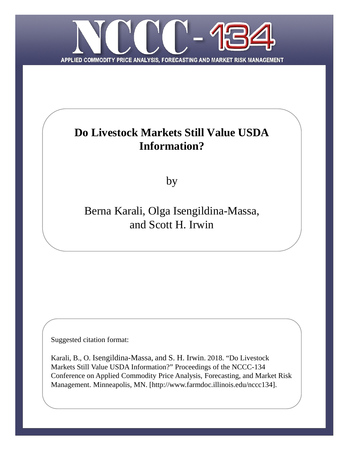

# **Do Livestock Markets Still Value USDA Information?**

by

# Berna Karali, Olga Isengildina-Massa, and Scott H. Irwin

Suggested citation format:

Karali, B., O. Isengildina-Massa, and S. H. Irwin. 2018. "Do Livestock Markets Still Value USDA Information?" Proceedings of the NCCC-134 Conference on Applied Commodity Price Analysis, Forecasting, and Market Risk Management. Minneapolis, MN. [http://www.farmdoc.illinois.edu/nccc134].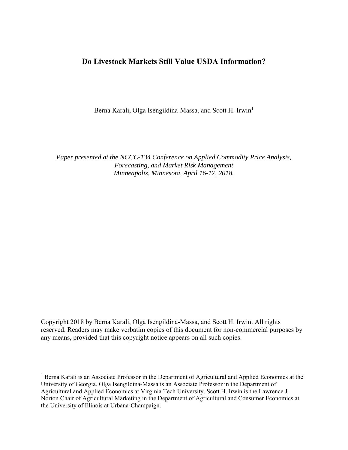# **Do Livestock Markets Still Value USDA Information?**

Berna Karali, Olga Isengildina-Massa, and Scott H. Irwin<sup>1</sup>

*Paper presented at the NCCC-134 Conference on Applied Commodity Price Analysis, Forecasting, and Market Risk Management Minneapolis, Minnesota, April 16-17, 2018.* 

Copyright 2018 by Berna Karali, Olga Isengildina-Massa, and Scott H. Irwin. All rights reserved. Readers may make verbatim copies of this document for non-commercial purposes by any means, provided that this copyright notice appears on all such copies.

<sup>1</sup> Berna Karali is an Associate Professor in the Department of Agricultural and Applied Economics at the University of Georgia. Olga Isengildina-Massa is an Associate Professor in the Department of Agricultural and Applied Economics at Virginia Tech University. Scott H. Irwin is the Lawrence J. Norton Chair of Agricultural Marketing in the Department of Agricultural and Consumer Economics at the University of Illinois at Urbana-Champaign.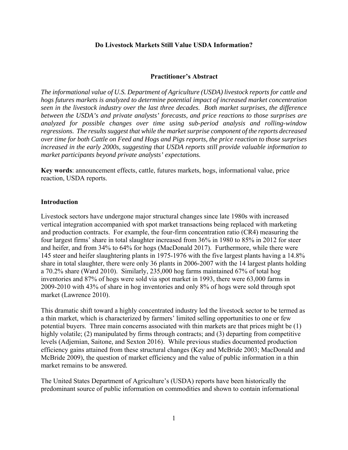#### **Do Livestock Markets Still Value USDA Information?**

#### **Practitioner's Abstract**

*The informational value of U.S. Department of Agriculture (USDA) livestock reports for cattle and hogs futures markets is analyzed to determine potential impact of increased market concentration seen in the livestock industry over the last three decades. Both market surprises, the difference between the USDA's and private analysts' forecasts, and price reactions to those surprises are analyzed for possible changes over time using sub-period analysis and rolling-window regressions. The results suggest that while the market surprise component of the reports decreased over time for both Cattle on Feed and Hogs and Pigs reports, the price reaction to those surprises increased in the early 2000s, suggesting that USDA reports still provide valuable information to market participants beyond private analysts' expectations.* 

**Key words**: announcement effects, cattle, futures markets, hogs, informational value, price reaction, USDA reports.

#### **Introduction**

Livestock sectors have undergone major structural changes since late 1980s with increased vertical integration accompanied with spot market transactions being replaced with marketing and production contracts. For example, the four-firm concentration ratio (CR4) measuring the four largest firms' share in total slaughter increased from 36% in 1980 to 85% in 2012 for steer and heifer, and from 34% to 64% for hogs (MacDonald 2017). Furthermore, while there were 145 steer and heifer slaughtering plants in 1975-1976 with the five largest plants having a 14.8% share in total slaughter, there were only 36 plants in 2006-2007 with the 14 largest plants holding a 70.2% share (Ward 2010). Similarly, 235,000 hog farms maintained 67% of total hog inventories and 87% of hogs were sold via spot market in 1993, there were 63,000 farms in 2009-2010 with 43% of share in hog inventories and only 8% of hogs were sold through spot market (Lawrence 2010).

This dramatic shift toward a highly concentrated industry led the livestock sector to be termed as a thin market, which is characterized by farmers' limited selling opportunities to one or few potential buyers. Three main concerns associated with thin markets are that prices might be (1) highly volatile; (2) manipulated by firms through contracts; and (3) departing from competitive levels (Adjemian, Saitone, and Sexton 2016). While previous studies documented production efficiency gains attained from these structural changes (Key and McBride 2003; MacDonald and McBride 2009), the question of market efficiency and the value of public information in a thin market remains to be answered.

The United States Department of Agriculture's (USDA) reports have been historically the predominant source of public information on commodities and shown to contain informational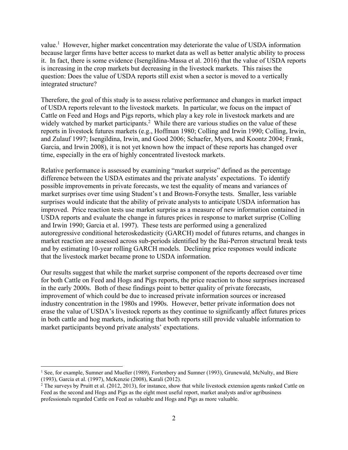value.<sup>1</sup> However, higher market concentration may deteriorate the value of USDA information because larger firms have better access to market data as well as better analytic ability to process it. In fact, there is some evidence (Isengildina-Massa et al. 2016) that the value of USDA reports is increasing in the crop markets but decreasing in the livestock markets. This raises the question: Does the value of USDA reports still exist when a sector is moved to a vertically integrated structure?

Therefore, the goal of this study is to assess relative performance and changes in market impact of USDA reports relevant to the livestock markets. In particular, we focus on the impact of Cattle on Feed and Hogs and Pigs reports, which play a key role in livestock markets and are widely watched by market participants.<sup>2</sup> While there are various studies on the value of these reports in livestock futures markets (e.g., Hoffman 1980; Colling and Irwin 1990; Colling, Irwin, and Zulauf 1997; Isengildina, Irwin, and Good 2006; Schaefer, Myers, and Koontz 2004; Frank, Garcia, and Irwin 2008), it is not yet known how the impact of these reports has changed over time, especially in the era of highly concentrated livestock markets.

Relative performance is assessed by examining "market surprise" defined as the percentage difference between the USDA estimates and the private analysts' expectations. To identify possible improvements in private forecasts, we test the equality of means and variances of market surprises over time using Student's t and Brown-Forsythe tests. Smaller, less variable surprises would indicate that the ability of private analysts to anticipate USDA information has improved. Price reaction tests use market surprise as a measure of new information contained in USDA reports and evaluate the change in futures prices in response to market surprise (Colling and Irwin 1990; Garcia et al. 1997). These tests are performed using a generalized autoregressive conditional heteroskedasticity (GARCH) model of futures returns, and changes in market reaction are assessed across sub-periods identified by the Bai-Perron structural break tests and by estimating 10-year rolling GARCH models. Declining price responses would indicate that the livestock market became prone to USDA information.

Our results suggest that while the market surprise component of the reports decreased over time for both Cattle on Feed and Hogs and Pigs reports, the price reaction to those surprises increased in the early 2000s. Both of these findings point to better quality of private forecasts, improvement of which could be due to increased private information sources or increased industry concentration in the 1980s and 1990s. However, better private information does not erase the value of USDA's livestock reports as they continue to significantly affect futures prices in both cattle and hog markets, indicating that both reports still provide valuable information to market participants beyond private analysts' expectations.

<sup>&</sup>lt;sup>1</sup> See, for example, Sumner and Mueller (1989), Fortenbery and Sumner (1993), Grunewald, McNulty, and Biere (1993), Garcia et al. (1997), McKenzie (2008), Karali (2012).

 $2$  The surveys by Pruitt et al. (2012, 2013), for instance, show that while livestock extension agents ranked Cattle on Feed as the second and Hogs and Pigs as the eight most useful report, market analysts and/or agribusiness professionals regarded Cattle on Feed as valuable and Hogs and Pigs as more valuable.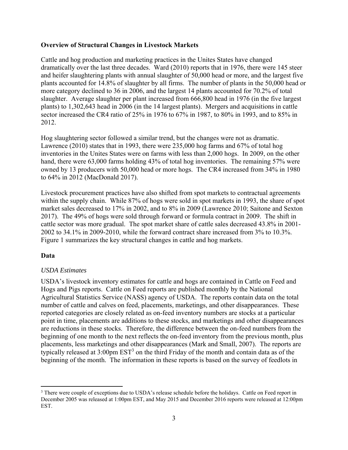### **Overview of Structural Changes in Livestock Markets**

Cattle and hog production and marketing practices in the Unites States have changed dramatically over the last three decades. Ward (2010) reports that in 1976, there were 145 steer and heifer slaughtering plants with annual slaughter of 50,000 head or more, and the largest five plants accounted for 14.8% of slaughter by all firms. The number of plants in the 50,000 head or more category declined to 36 in 2006, and the largest 14 plants accounted for 70.2% of total slaughter. Average slaughter per plant increased from 666,800 head in 1976 (in the five largest plants) to 1,302,643 head in 2006 (in the 14 largest plants). Mergers and acquisitions in cattle sector increased the CR4 ratio of 25% in 1976 to 67% in 1987, to 80% in 1993, and to 85% in 2012.

Hog slaughtering sector followed a similar trend, but the changes were not as dramatic. Lawrence (2010) states that in 1993, there were 235,000 hog farms and 67% of total hog inventories in the Unites States were on farms with less than 2,000 hogs. In 2009, on the other hand, there were 63,000 farms holding 43% of total hog inventories. The remaining 57% were owned by 13 producers with 50,000 head or more hogs. The CR4 increased from 34% in 1980 to 64% in 2012 (MacDonald 2017).

Livestock procurement practices have also shifted from spot markets to contractual agreements within the supply chain. While 87% of hogs were sold in spot markets in 1993, the share of spot market sales decreased to 17% in 2002, and to 8% in 2009 (Lawrence 2010; Saitone and Sexton 2017). The 49% of hogs were sold through forward or formula contract in 2009. The shift in cattle sector was more gradual. The spot market share of cattle sales decreased 43.8% in 2001- 2002 to 34.1% in 2009-2010, while the forward contract share increased from 3% to 10.3%. Figure 1 summarizes the key structural changes in cattle and hog markets.

## **Data**

#### *USDA Estimates*

USDA's livestock inventory estimates for cattle and hogs are contained in Cattle on Feed and Hogs and Pigs reports. Cattle on Feed reports are published monthly by the National Agricultural Statistics Service (NASS) agency of USDA. The reports contain data on the total number of cattle and calves on feed, placements, marketings, and other disappearances. These reported categories are closely related as on-feed inventory numbers are stocks at a particular point in time, placements are additions to these stocks, and marketings and other disappearances are reductions in these stocks. Therefore, the difference between the on-feed numbers from the beginning of one month to the next reflects the on-feed inventory from the previous month, plus placements, less marketings and other disappearances (Mark and Small, 2007). The reports are typically released at  $3:00$ pm  $EST<sup>3</sup>$  on the third Friday of the month and contain data as of the beginning of the month. The information in these reports is based on the survey of feedlots in

<sup>&</sup>lt;sup>3</sup> There were couple of exceptions due to USDA's release schedule before the holidays. Cattle on Feed report in December 2005 was released at 1:00pm EST, and May 2015 and December 2016 reports were released at 12:00pm EST.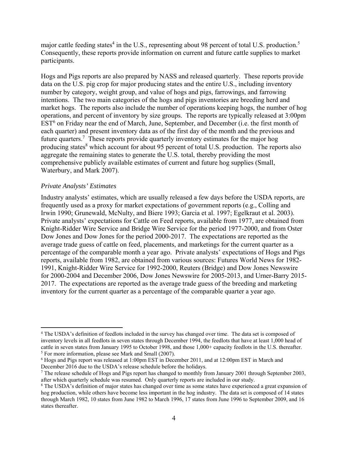major cattle feeding states<sup>4</sup> in the U.S., representing about 98 percent of total U.S. production.<sup>5</sup> Consequently, these reports provide information on current and future cattle supplies to market participants.

Hogs and Pigs reports are also prepared by NASS and released quarterly. These reports provide data on the U.S. pig crop for major producing states and the entire U.S., including inventory number by category, weight group, and value of hogs and pigs, farrowings, and farrowing intentions. The two main categories of the hogs and pigs inventories are breeding herd and market hogs. The reports also include the number of operations keeping hogs, the number of hog operations, and percent of inventory by size groups. The reports are typically released at 3:00pm EST<sup>6</sup> on Friday near the end of March, June, September, and December (i.e. the first month of each quarter) and present inventory data as of the first day of the month and the previous and future quarters.<sup>7</sup> These reports provide quarterly inventory estimates for the major hog producing states<sup>8</sup> which account for about 95 percent of total U.S. production. The reports also aggregate the remaining states to generate the U.S. total, thereby providing the most comprehensive publicly available estimates of current and future hog supplies (Small, Waterbury, and Mark 2007).

#### *Private Analysts' Estimates*

Industry analysts' estimates, which are usually released a few days before the USDA reports, are frequently used as a proxy for market expectations of government reports (e.g., Colling and Irwin 1990; Grunewald, McNulty, and Biere 1993; Garcia et al. 1997; Egelkraut et al. 2003). Private analysts' expectations for Cattle on Feed reports, available from 1977, are obtained from Knight-Ridder Wire Service and Bridge Wire Service for the period 1977-2000, and from Oster Dow Jones and Dow Jones for the period 2000-2017. The expectations are reported as the average trade guess of cattle on feed, placements, and marketings for the current quarter as a percentage of the comparable month a year ago. Private analysts' expectations of Hogs and Pigs reports, available from 1982, are obtained from various sources: Futures World News for 1982- 1991, Knight-Ridder Wire Service for 1992-2000, Reuters (Bridge) and Dow Jones Newswire for 2000-2004 and December 2006, Dow Jones Newswire for 2005-2013, and Urner-Barry 2015- 2017. The expectations are reported as the average trade guess of the breeding and marketing inventory for the current quarter as a percentage of the comparable quarter a year ago.

<sup>4</sup> The USDA's definition of feedlots included in the survey has changed over time. The data set is composed of inventory levels in all feedlots in seven states through December 1994, the feedlots that have at least 1,000 head of cattle in seven states from January 1995 to October 1998, and those 1,000+ capacity feedlots in the U.S. thereafter. <sup>5</sup> For more information, please see Mark and Small (2007).

<sup>6</sup> Hogs and Pigs report was released at 1:00pm EST in December 2011, and at 12:00pm EST in March and December 2016 due to the USDA's release schedule before the holidays.

<sup>&</sup>lt;sup>7</sup> The release schedule of Hogs and Pigs report has changed to monthly from January 2001 through September 2003, after which quarterly schedule was resumed. Only quarterly reports are included in our study.

<sup>&</sup>lt;sup>8</sup> The USDA's definition of major states has changed over time as some states have experienced a great expansion of hog production, while others have become less important in the hog industry. The data set is composed of 14 states through March 1982, 10 states from June 1982 to March 1996, 17 states from June 1996 to September 2009, and 16 states thereafter.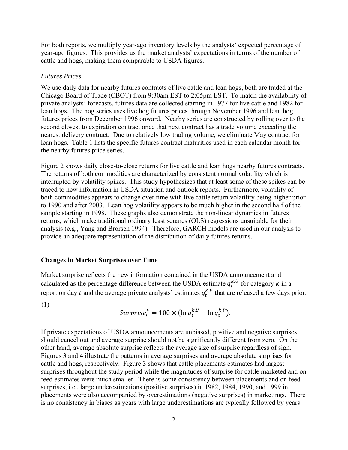For both reports, we multiply year-ago inventory levels by the analysts' expected percentage of year-ago figures. This provides us the market analysts' expectations in terms of the number of cattle and hogs, making them comparable to USDA figures.

#### *Futures Prices*

We use daily data for nearby futures contracts of live cattle and lean hogs, both are traded at the Chicago Board of Trade (CBOT) from 9:30am EST to 2:05pm EST. To match the availability of private analysts' forecasts, futures data are collected starting in 1977 for live cattle and 1982 for lean hogs. The hog series uses live hog futures prices through November 1996 and lean hog futures prices from December 1996 onward. Nearby series are constructed by rolling over to the second closest to expiration contract once that next contract has a trade volume exceeding the nearest delivery contract. Due to relatively low trading volume, we eliminate May contract for lean hogs. Table 1 lists the specific futures contract maturities used in each calendar month for the nearby futures price series.

Figure 2 shows daily close-to-close returns for live cattle and lean hogs nearby futures contracts. The returns of both commodities are characterized by consistent normal volatility which is interrupted by volatility spikes. This study hypothesizes that at least some of these spikes can be traced to new information in USDA situation and outlook reports. Furthermore, volatility of both commodities appears to change over time with live cattle return volatility being higher prior to 1990 and after 2003. Lean hog volatility appears to be much higher in the second half of the sample starting in 1998. These graphs also demonstrate the non-linear dynamics in futures returns, which make traditional ordinary least squares (OLS) regressions unsuitable for their analysis (e.g., Yang and Brorsen 1994). Therefore, GARCH models are used in our analysis to provide an adequate representation of the distribution of daily futures returns.

#### **Changes in Market Surprises over Time**

Market surprise reflects the new information contained in the USDA announcement and calculated as the percentage difference between the USDA estimate  $q_t^{k,U}$  for category k in a report on day t and the average private analysts' estimates  $q_t^{k,P}$  that are released a few days prior:

(1)

$$
Surprise_t^k = 100 \times (\ln q_t^{k,U} - \ln q_t^{k,P}).
$$

If private expectations of USDA announcements are unbiased, positive and negative surprises should cancel out and average surprise should not be significantly different from zero. On the other hand, average absolute surprise reflects the average size of surprise regardless of sign. Figures 3 and 4 illustrate the patterns in average surprises and average absolute surprises for cattle and hogs, respectively. Figure 3 shows that cattle placements estimates had largest surprises throughout the study period while the magnitudes of surprise for cattle marketed and on feed estimates were much smaller. There is some consistency between placements and on feed surprises, i.e., large underestimations (positive surprises) in 1982, 1984, 1990, and 1999 in placements were also accompanied by overestimations (negative surprises) in marketings. There is no consistency in biases as years with large underestimations are typically followed by years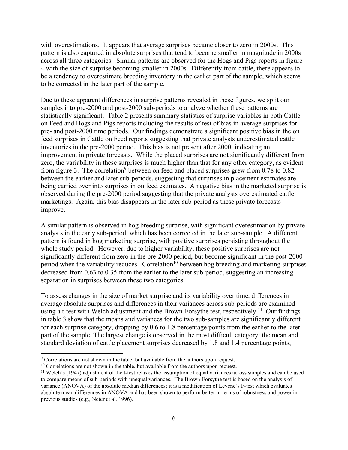with overestimations. It appears that average surprises became closer to zero in 2000s. This pattern is also captured in absolute surprises that tend to become smaller in magnitude in 2000s across all three categories. Similar patterns are observed for the Hogs and Pigs reports in figure 4 with the size of surprise becoming smaller in 2000s. Differently from cattle, there appears to be a tendency to overestimate breeding inventory in the earlier part of the sample, which seems to be corrected in the later part of the sample.

Due to these apparent differences in surprise patterns revealed in these figures, we split our samples into pre-2000 and post-2000 sub-periods to analyze whether these patterns are statistically significant. Table 2 presents summary statistics of surprise variables in both Cattle on Feed and Hogs and Pigs reports including the results of test of bias in average surprises for pre- and post-2000 time periods. Our findings demonstrate a significant positive bias in the on feed surprises in Cattle on Feed reports suggesting that private analysts underestimated cattle inventories in the pre-2000 period. This bias is not present after 2000, indicating an improvement in private forecasts. While the placed surprises are not significantly different from zero, the variability in these surprises is much higher than that for any other category, as evident from figure 3. The correlation<sup>9</sup> between on feed and placed surprises grew from  $0.78$  to  $0.82$ between the earlier and later sub-periods, suggesting that surprises in placement estimates are being carried over into surprises in on feed estimates. A negative bias in the marketed surprise is observed during the pre-2000 period suggesting that the private analysts overestimated cattle marketings. Again, this bias disappears in the later sub-period as these private forecasts improve.

A similar pattern is observed in hog breeding surprise, with significant overestimation by private analysts in the early sub-period, which has been corrected in the later sub-sample. A different pattern is found in hog marketing surprise, with positive surprises persisting throughout the whole study period. However, due to higher variability, these positive surprises are not significantly different from zero in the pre-2000 period, but become significant in the post-2000 period when the variability reduces. Correlation<sup>10</sup> between hog breeding and marketing surprises decreased from 0.63 to 0.35 from the earlier to the later sub-period, suggesting an increasing separation in surprises between these two categories.

To assess changes in the size of market surprise and its variability over time, differences in average absolute surprises and differences in their variances across sub-periods are examined using a t-test with Welch adjustment and the Brown-Forsythe test, respectively.<sup>11</sup> Our findings in table 3 show that the means and variances for the two sub-samples are significantly different for each surprise category, dropping by 0.6 to 1.8 percentage points from the earlier to the later part of the sample. The largest change is observed in the most difficult category: the mean and standard deviation of cattle placement surprises decreased by 1.8 and 1.4 percentage points,

<sup>&</sup>lt;sup>9</sup> Correlations are not shown in the table, but available from the authors upon request.

<sup>&</sup>lt;sup>10</sup> Correlations are not shown in the table, but available from the authors upon request.<br><sup>11</sup> Welch's (1947) adjustment of the t-test relaxes the assumption of equal variances across samples and can be used to compare means of sub-periods with unequal variances. The Brown-Forsythe test is based on the analysis of variance (ANOVA) of the absolute median differences; it is a modification of Levene's F-test which evaluates absolute mean differences in ANOVA and has been shown to perform better in terms of robustness and power in previous studies (e.g., Neter et al. 1996).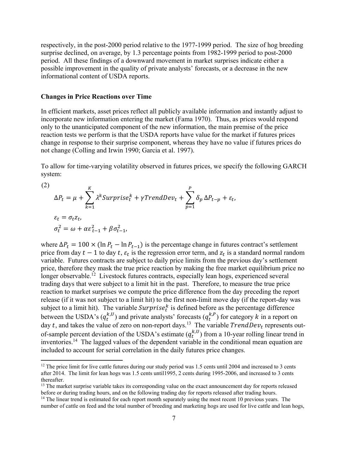respectively, in the post-2000 period relative to the 1977-1999 period. The size of hog breeding surprise declined, on average, by 1.3 percentage points from 1982-1999 period to post-2000 period. All these findings of a downward movement in market surprises indicate either a possible improvement in the quality of private analysts' forecasts, or a decrease in the new informational content of USDA reports.

#### **Changes in Price Reactions over Time**

In efficient markets, asset prices reflect all publicly available information and instantly adjust to incorporate new information entering the market (Fama 1970). Thus, as prices would respond only to the unanticipated component of the new information, the main premise of the price reaction tests we perform is that the USDA reports have value for the market if futures prices change in response to their surprise component, whereas they have no value if futures prices do not change (Colling and Irwin 1990; Garcia et al. 1997).

To allow for time-varying volatility observed in futures prices, we specify the following GARCH system:

(2)  
\n
$$
\Delta P_t = \mu + \sum_{k=1}^K \lambda^k \text{Surprise}_t^k + \gamma \text{TrendDev}_t + \sum_{p=1}^P \delta_p \Delta P_{t-p} + \varepsilon_t,
$$
\n
$$
\varepsilon_t = \sigma_t z_t,
$$
\n
$$
\sigma_t^2 = \omega + \alpha \varepsilon_{t-1}^2 + \beta \sigma_{t-1}^2,
$$

where  $\Delta P_t = 100 \times (\ln P_t - \ln P_{t-1})$  is the percentage change in futures contract's settlement price from day  $t-1$  to day  $t$ ,  $\varepsilon_t$  is the regression error term, and  $z_t$  is a standard normal random variable. Futures contracts are subject to daily price limits from the previous day's settlement price, therefore they mask the true price reaction by making the free market equilibrium price no longer observable.<sup>12</sup> Livestock futures contracts, especially lean hogs, experienced several trading days that were subject to a limit hit in the past. Therefore, to measure the true price reaction to market surprises we compute the price difference from the day preceding the report release (if it was not subject to a limit hit) to the first non-limit move day (if the report-day was subject to a limit hit). The variable  $Surprise_t^k$  is defined before as the percentage difference between the USDA's  $(q_t^{k,U})$  and private analysts' forecasts  $(q_t^{k,P})$  for category k in a report on day t, and takes the value of zero on non-report days.<sup>13</sup> The variable  $TrendDev_t$  represents outof-sample percent deviation of the USDA's estimate  $(q_t^{k,U})$  from a 10-year rolling linear trend in inventories.14 The lagged values of the dependent variable in the conditional mean equation are included to account for serial correlation in the daily futures price changes.

<sup>13</sup> The market surprise variable takes its corresponding value on the exact announcement day for reports released before or during trading hours, and on the following trading day for reports released after trading hours. 14 The linear trend is estimated for each report month separately using the most recent 10 previous years. The

 $12$  The price limit for live cattle futures during our study period was 1.5 cents until 2004 and increased to 3 cents after 2014. The limit for lean hogs was 1.5 cents until1995, 2 cents during 1995-2006, and increased to 3 cents thereafter.

number of cattle on feed and the total number of breeding and marketing hogs are used for live cattle and lean hogs,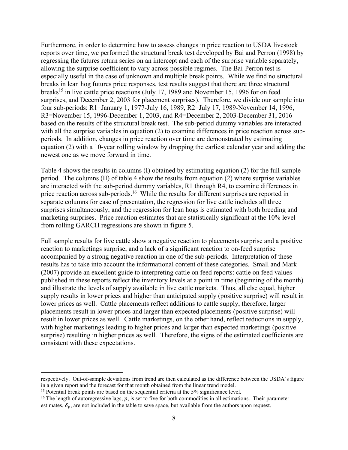Furthermore, in order to determine how to assess changes in price reaction to USDA livestock reports over time, we performed the structural break test developed by Bai and Perron (1998) by regressing the futures return series on an intercept and each of the surprise variable separately, allowing the surprise coefficient to vary across possible regimes. The Bai-Perron test is especially useful in the case of unknown and multiple break points. While we find no structural breaks in lean hog futures price responses, test results suggest that there are three structural breaks<sup>15</sup> in live cattle price reactions (July 17, 1989 and November 15, 1996 for on feed surprises, and December 2, 2003 for placement surprises). Therefore, we divide our sample into four sub-periods: R1=January 1, 1977-July 16, 1989, R2=July 17, 1989-November 14, 1996, R3=November 15, 1996-December 1, 2003, and R4=December 2, 2003-December 31, 2016 based on the results of the structural break test. The sub-period dummy variables are interacted with all the surprise variables in equation (2) to examine differences in price reaction across subperiods. In addition, changes in price reaction over time are demonstrated by estimating equation (2) with a 10-year rolling window by dropping the earliest calendar year and adding the newest one as we move forward in time.

Table 4 shows the results in columns (I) obtained by estimating equation (2) for the full sample period. The columns (II) of table 4 show the results from equation (2) where surprise variables are interacted with the sub-period dummy variables, R1 through R4, to examine differences in price reaction across sub-periods.<sup>16</sup> While the results for different surprises are reported in separate columns for ease of presentation, the regression for live cattle includes all three surprises simultaneously, and the regression for lean hogs is estimated with both breeding and marketing surprises. Price reaction estimates that are statistically significant at the 10% level from rolling GARCH regressions are shown in figure 5.

Full sample results for live cattle show a negative reaction to placements surprise and a positive reaction to marketings surprise, and a lack of a significant reaction to on-feed surprise accompanied by a strong negative reaction in one of the sub-periods. Interpretation of these results has to take into account the informational content of these categories. Small and Mark (2007) provide an excellent guide to interpreting cattle on feed reports: cattle on feed values published in these reports reflect the inventory levels at a point in time (beginning of the month) and illustrate the levels of supply available in live cattle markets. Thus, all else equal, higher supply results in lower prices and higher than anticipated supply (positive surprise) will result in lower prices as well. Cattle placements reflect additions to cattle supply, therefore, larger placements result in lower prices and larger than expected placements (positive surprise) will result in lower prices as well. Cattle marketings, on the other hand, reflect reductions in supply, with higher marketings leading to higher prices and larger than expected marketings (positive surprise) resulting in higher prices as well. Therefore, the signs of the estimated coefficients are consistent with these expectations.

respectively. Out-of-sample deviations from trend are then calculated as the difference between the USDA's figure in a given report and the forecast for that month obtained from the linear trend model.

<sup>&</sup>lt;sup>15</sup> Potential break points are based on the sequential criteria at the 5% significance level.

<sup>&</sup>lt;sup>16</sup> The length of autoregressive lags,  $p$ , is set to five for both commodities in all estimations. Their parameter estimates,  $\delta_p$ , are not included in the table to save space, but available from the authors upon request.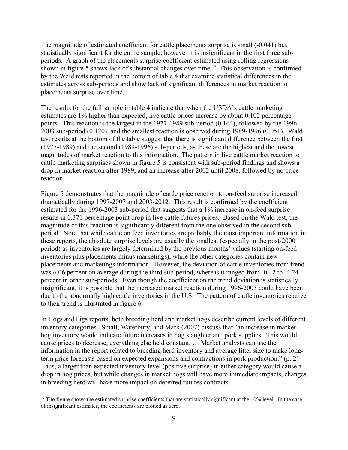The magnitude of estimated coefficient for cattle placements surprise is small (-0.041) but statistically significant for the entire sample; however it is insignificant in the first three subperiods. A graph of the placements surprise coefficient estimated using rolling regressions shown in figure 5 shows lack of substantial changes over time.<sup>17</sup> This observation is confirmed by the Wald tests reported in the bottom of table 4 that examine statistical differences in the estimates across sub-periods and show lack of significant differences in market reaction to placements surprise over time.

The results for the full sample in table 4 indicate that when the USDA's cattle marketing estimates are 1% higher than expected, live cattle prices increase by about 0.102 percentage points. This reaction is the largest in the 1977-1989 sub-period (0.164), followed by the 1996- 2003 sub-period (0.120), and the smallest reaction is observed during 1989-1996 (0.051). Wald test results at the bottom of the table suggest that there is significant difference between the first (1977-1989) and the second (1989-1996) sub-periods, as these are the highest and the lowest magnitudes of market reaction to this information. The pattern in live cattle market reaction to cattle marketing surprises shown in figure 5 is consistent with sub-period findings and shows a drop in market reaction after 1989, and an increase after 2002 until 2008, followed by no price reaction.

Figure 5 demonstrates that the magnitude of cattle price reaction to on-feed surprise increased dramatically during 1997-2007 and 2003-2012. This result is confirmed by the coefficient estimated for the 1996-2003 sub-period that suggests that a 1% increase in on-feed surprise results in 0.371 percentage point drop in live cattle futures prices. Based on the Wald test, the magnitude of this reaction is significantly different from the one observed in the second subperiod. Note that while cattle on feed inventories are probably the most important information in these reports, the absolute surprise levels are usually the smallest (especially in the post-2000 period) as inventories are largely determined by the previous months' values (starting on-feed inventories plus placements minus marketings), while the other categories contain new placements and marketings information. However, the deviation of cattle inventories from trend was 6.06 percent on average during the third sub-period, whereas it ranged from -0.42 to -4.24 percent in other sub-periods. Even though the coefficient on the trend deviation is statistically insignificant, it is possible that the increased market reaction during 1996-2003 could have been due to the abnormally high cattle inventories in the U.S. The pattern of cattle inventories relative to their trend is illustrated in figure 6.

In Hogs and Pigs reports, both breeding herd and market hogs describe current levels of different inventory categories. Small, Waterbury, and Mark (2007) discuss that "an increase in market hog inventory would indicate future increases in hog slaughter and pork supplies. This would cause prices to decrease, everything else held constant. … Market analysts can use the information in the report related to breeding herd inventory and average litter size to make longterm price forecasts based on expected expansions and contractions in pork production." (p. 2) Thus, a larger than expected inventory level (positive surprise) in either category would cause a drop in hog prices, but while changes in market hogs will have more immediate impacts, changes in breeding herd will have more impact on deferred futures contracts.

<sup>&</sup>lt;sup>17</sup> The figure shows the estimated surprise coefficients that are statistically significant at the 10% level. In the case of insignificant estimates, the coefficients are plotted as zero.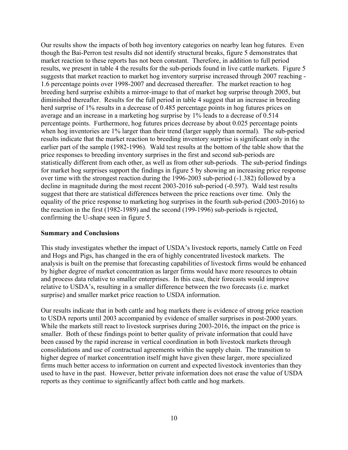Our results show the impacts of both hog inventory categories on nearby lean hog futures. Even though the Bai-Perron test results did not identify structural breaks, figure 5 demonstrates that market reaction to these reports has not been constant. Therefore, in addition to full period results, we present in table 4 the results for the sub-periods found in live cattle markets. Figure 5 suggests that market reaction to market hog inventory surprise increased through 2007 reaching - 1.6 percentage points over 1998-2007 and decreased thereafter. The market reaction to hog breeding herd surprise exhibits a mirror-image to that of market hog surprise through 2005, but diminished thereafter. Results for the full period in table 4 suggest that an increase in breeding herd surprise of 1% results in a decrease of 0.485 percentage points in hog futures prices on average and an increase in a marketing hog surprise by 1% leads to a decrease of 0.514 percentage points. Furthermore, hog futures prices decrease by about 0.025 percentage points when hog inventories are 1% larger than their trend (larger supply than normal). The sub-period results indicate that the market reaction to breeding inventory surprise is significant only in the earlier part of the sample (1982-1996). Wald test results at the bottom of the table show that the price responses to breeding inventory surprises in the first and second sub-periods are statistically different from each other, as well as from other sub-periods. The sub-period findings for market hog surprises support the findings in figure 5 by showing an increasing price response over time with the strongest reaction during the 1996-2003 sub-period (-1.382) followed by a decline in magnitude during the most recent 2003-2016 sub-period (-0.597). Wald test results suggest that there are statistical differences between the price reactions over time. Only the equality of the price response to marketing hog surprises in the fourth sub-period (2003-2016) to the reaction in the first (1982-1989) and the second (199-1996) sub-periods is rejected, confirming the U-shape seen in figure 5.

#### **Summary and Conclusions**

This study investigates whether the impact of USDA's livestock reports, namely Cattle on Feed and Hogs and Pigs, has changed in the era of highly concentrated livestock markets. The analysis is built on the premise that forecasting capabilities of livestock firms would be enhanced by higher degree of market concentration as larger firms would have more resources to obtain and process data relative to smaller enterprises. In this case, their forecasts would improve relative to USDA's, resulting in a smaller difference between the two forecasts (i.e. market surprise) and smaller market price reaction to USDA information.

Our results indicate that in both cattle and hog markets there is evidence of strong price reaction to USDA reports until 2003 accompanied by evidence of smaller surprises in post-2000 years. While the markets still react to livestock surprises during 2003-2016, the impact on the price is smaller. Both of these findings point to better quality of private information that could have been caused by the rapid increase in vertical coordination in both livestock markets through consolidations and use of contractual agreements within the supply chain. The transition to higher degree of market concentration itself might have given these larger, more specialized firms much better access to information on current and expected livestock inventories than they used to have in the past. However, better private information does not erase the value of USDA reports as they continue to significantly affect both cattle and hog markets.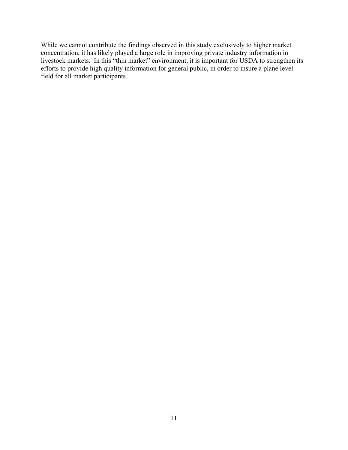While we cannot contribute the findings observed in this study exclusively to higher market concentration, it has likely played a large role in improving private industry information in livestock markets. In this "thin market" environment, it is important for USDA to strengthen its efforts to provide high quality information for general public, in order to insure a plane level field for all market participants.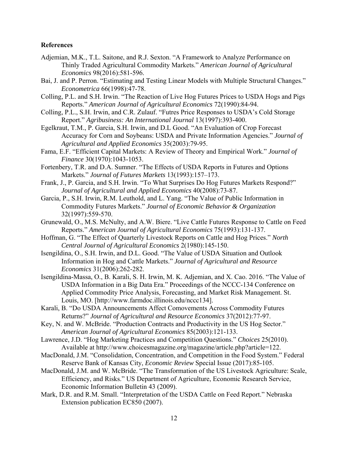#### **References**

- Adjemian, M.K., T.L. Saitone, and R.J. Sexton. "A Framework to Analyze Performance on Thinly Traded Agricultural Commodity Markets." *American Journal of Agricultural Economics* 98(2016):581-596.
- Bai, J. and P. Perron. "Estimating and Testing Linear Models with Multiple Structural Changes." *Econometrica* 66(1998):47-78.
- Colling, P.L. and S.H. Irwin. "The Reaction of Live Hog Futures Prices to USDA Hogs and Pigs Reports." *American Journal of Agricultural Economics* 72(1990):84-94.
- Colling, P.L., S.H. Irwin, and C.R. Zulauf. "Futres Price Responses to USDA's Cold Storage Report." *Agribusiness: An International Journal* 13(1997):393-400.
- Egelkraut, T.M., P. Garcia, S.H. Irwin, and D.L Good. "An Evaluation of Crop Forecast Accuracy for Corn and Soybeans: USDA and Private Information Agencies." *Journal of Agricultural and Applied Economics* 35(2003):79-95.
- Fama, E.F. "Efficient Capital Markets: A Review of Theory and Empirical Work." *Journal of Finance* 30(1970):1043-1053.
- Fortenbery, T.R. and D.A. Sumner. "The Effects of USDA Reports in Futures and Options Markets." *Journal of Futures Markets* 13(1993):157–173.
- Frank, J., P. Garcia, and S.H. Irwin. "To What Surprises Do Hog Futures Markets Respond?" *Journal of Agricultural and Applied Economics* 40(2008):73-87.
- Garcia, P., S.H. Irwin, R.M. Leuthold, and L. Yang. "The Value of Public Information in Commodity Futures Markets." *Journal of Economic Behavior & Organization*  32(1997):559-570.
- Grunewald, O., M.S. McNulty, and A.W. Biere. "Live Cattle Futures Response to Cattle on Feed Reports." *American Journal of Agricultural Economics* 75(1993):131-137.
- Hoffman, G. "The Effect of Quarterly Livestock Reports on Cattle and Hog Prices." *North Central Journal of Agricultural Economics* 2(1980):145-150.
- Isengildina, O., S.H. Irwin, and D.L. Good. "The Value of USDA Situation and Outlook Information in Hog and Cattle Markets." *Journal of Agricultural and Resource Economics* 31(2006):262-282.
- Isengildina-Massa, O., B. Karali, S. H. Irwin, M. K. Adjemian, and X. Cao. 2016. "The Value of USDA Information in a Big Data Era." Proceedings of the NCCC-134 Conference on Applied Commodity Price Analysis, Forecasting, and Market Risk Management. St. Louis, MO. [http://www.farmdoc.illinois.edu/nccc134].
- Karali, B. "Do USDA Announcements Affect Comovements Across Commodity Futures Returns?" *Journal of Agricultural and Resource Economics* 37(2012):77-97.
- Key, N. and W. McBride. "Production Contracts and Productivity in the US Hog Sector." *American Journal of Agricultural Economics* 85(2003):121-133.
- Lawrence, J.D. "Hog Marketing Practices and Competition Questions." *Choices* 25(2010). Available at http://www.choicesmagazine.org/magazine/article.php?article=122.
- MacDonald, J.M. "Consolidation, Concentration, and Competition in the Food System." Federal Reserve Bank of Kansas City, *Economic Review* Special Issue (2017):85-105.
- MacDonald, J.M. and W. McBride. "The Transformation of the US Livestock Agriculture: Scale, Efficiency, and Risks." US Department of Agriculture, Economic Research Service, Economic Information Bulletin 43 (2009).
- Mark, D.R. and R.M. Small. "Interpretation of the USDA Cattle on Feed Report." Nebraska Extension publication EC850 (2007).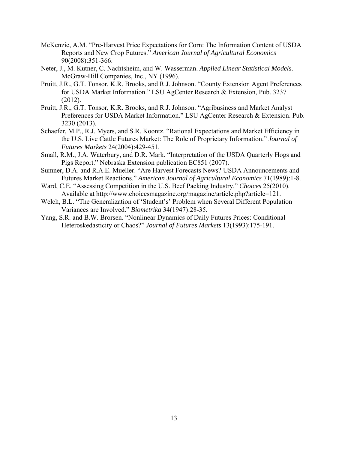- McKenzie, A.M. "Pre-Harvest Price Expectations for Corn: The Information Content of USDA Reports and New Crop Futures." *American Journal of Agricultural Economics* 90(2008):351-366.
- Neter, J., M. Kutner, C. Nachtsheim, and W. Wasserman. *Applied Linear Statistical Models*. McGraw-Hill Companies, Inc., NY (1996).
- Pruitt, J.R., G.T. Tonsor, K.R. Brooks, and R.J. Johnson. "County Extension Agent Preferences for USDA Market Information." LSU AgCenter Research & Extension, Pub. 3237 (2012).
- Pruitt, J.R., G.T. Tonsor, K.R. Brooks, and R.J. Johnson. "Agribusiness and Market Analyst Preferences for USDA Market Information." LSU AgCenter Research & Extension. Pub. 3230 (2013).
- Schaefer, M.P., R.J. Myers, and S.R. Koontz. "Rational Expectations and Market Efficiency in the U.S. Live Cattle Futures Market: The Role of Proprietary Information." *Journal of Futures Markets* 24(2004):429-451.
- Small, R.M., J.A. Waterbury, and D.R. Mark. "Interpretation of the USDA Quarterly Hogs and Pigs Report." Nebraska Extension publication EC851 (2007).
- Sumner, D.A. and R.A.E. Mueller. "Are Harvest Forecasts News? USDA Announcements and Futures Market Reactions." *American Journal of Agricultural Economics* 71(1989):1-8.
- Ward, C.E. "Assessing Competition in the U.S. Beef Packing Industry." *Choices* 25(2010). Available at http://www.choicesmagazine.org/magazine/article.php?article=121.
- Welch, B.L. "The Generalization of 'Student's' Problem when Several Different Population Variances are Involved." *Biometrika* 34(1947):28-35.
- Yang, S.R. and B.W. Brorsen. "Nonlinear Dynamics of Daily Futures Prices: Conditional Heteroskedasticity or Chaos?" *Journal of Futures Markets* 13(1993):175-191.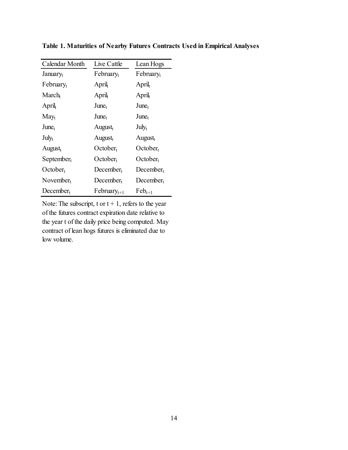| Calendar Month        | Live Cattle           | Lean Hogs             |  |  |
|-----------------------|-----------------------|-----------------------|--|--|
| January <sub>t</sub>  | $February_t$          | February <sub>t</sub> |  |  |
| February <sub>t</sub> | April <sub>t</sub>    | April <sub>t</sub>    |  |  |
| $March_{t}$           | April <sub>t</sub>    | April <sub>t</sub>    |  |  |
| April <sub>t</sub>    | June <sub>t</sub>     | June <sub>t</sub>     |  |  |
| $May_t$               | June <sub>t</sub>     | $June_t$              |  |  |
| June <sub>t</sub>     | August <sub>t</sub>   | $July_t$              |  |  |
| $\mathrm{July_{t}}$   | August <sub>t</sub>   | $August_t$            |  |  |
| August <sub>t</sub>   | October <sub>t</sub>  | October <sub>t</sub>  |  |  |
| $September_t$         | October <sub>t</sub>  | October <sub>t</sub>  |  |  |
| October <sub>t</sub>  | December <sub>t</sub> | $December_t$          |  |  |
| November <sub>t</sub> | $December_t$          | $December_t$          |  |  |
| $December_t$          | $February_{t+1}$      | $\text{Feb}_{t+1}$    |  |  |

**Table 1. Maturities of Nearby Futures Contracts Used in Empirical Analyses**

Note: The subscript, t or  $t + 1$ , refers to the year of the futures contract expiration date relative to the year t of the daily price being computed. May contract of lean hogs futures is eliminated due to low volume.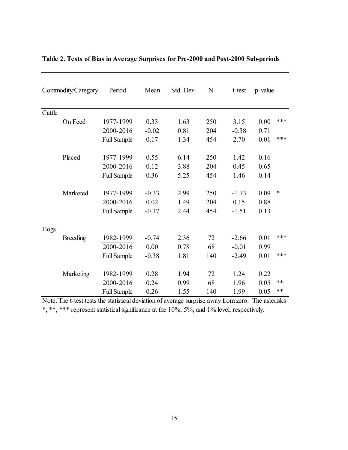| Commodity/Category | Period             | Mean    | Std. Dev. | N   | t-test  | p-value |        |
|--------------------|--------------------|---------|-----------|-----|---------|---------|--------|
| Cattle             |                    |         |           |     |         |         |        |
| On Feed            | 1977-1999          | 0.33    | 1.63      | 250 | 3.15    | 0.00    | ***    |
|                    | 2000-2016          | $-0.02$ | 0.81      | 204 | $-0.38$ | 0.71    |        |
|                    | <b>Full Sample</b> | 0.17    | 1.34      | 454 | 2.70    | 0.01    | ***    |
| Placed             | 1977-1999          | 0.55    | 6.14      | 250 | 1.42    | 0.16    |        |
|                    | 2000-2016          | 0.12    | 3.88      | 204 | 0.45    | 0.65    |        |
|                    | <b>Full Sample</b> | 0.36    | 5.25      | 454 | 1.46    | 0.14    |        |
| Marketed           | 1977-1999          | $-0.33$ | 2.99      | 250 | $-1.73$ | 0.09    | $\ast$ |
|                    | 2000-2016          | 0.02    | 1.49      | 204 | 0.15    | 0.88    |        |
|                    | <b>Full Sample</b> | $-0.17$ | 2.44      | 454 | $-1.51$ | 0.13    |        |
| Hogs               |                    |         |           |     |         |         |        |
| Breeding           | 1982-1999          | $-0.74$ | 2.36      | 72  | $-2.66$ | 0.01    | ***    |
|                    | 2000-2016          | 0.00    | 0.78      | 68  | $-0.01$ | 0.99    |        |
|                    | <b>Full Sample</b> | $-0.38$ | 1.81      | 140 | $-2.49$ | 0.01    | ***    |
| Marketing          | 1982-1999          | 0.28    | 1.94      | 72  | 1.24    | 0.22    |        |
|                    | 2000-2016          | 0.24    | 0.99      | 68  | 1.96    | 0.05    | **     |
|                    | <b>Full Sample</b> | 0.26    | 1.55      | 140 | 1.99    | 0.05    | **     |

### **Table 2. Tests of Bias in Average Surprises for Pre-2000 and Post-2000 Sub-periods**

Note: The t-test tests the statistical deviation of average surprise away from zero. The asterisks \*, \*\*, \*\*\* represent statistical significance at the 10%, 5%, and 1% level, respectively.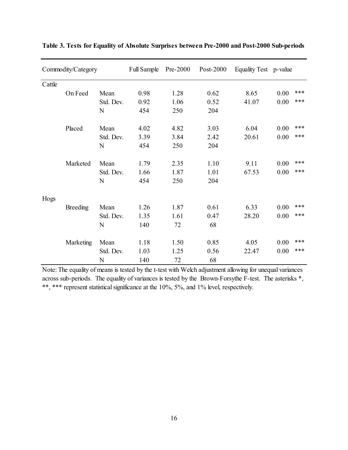| Commodity/Category |           | <b>Full Sample</b> | $Pre-2000$ | Post- $2000$ | Equality Test p-value |       |      |     |
|--------------------|-----------|--------------------|------------|--------------|-----------------------|-------|------|-----|
| Cattle             |           |                    |            |              |                       |       |      |     |
|                    | On Feed   | Mean               | 0.98       | 1.28         | 0.62                  | 8.65  | 0.00 | *** |
|                    |           | Std. Dev.          | 0.92       | 1.06         | 0.52                  | 41.07 | 0.00 | *** |
|                    |           | N                  | 454        | 250          | 204                   |       |      |     |
|                    | Placed    | Mean               | 4.02       | 4.82         | 3.03                  | 6.04  | 0.00 | *** |
|                    |           | Std. Dev.          | 3.39       | 3.84         | 2.42                  | 20.61 | 0.00 | *** |
|                    |           | N                  | 454        | 250          | 204                   |       |      |     |
|                    | Marketed  | Mean               | 1.79       | 2.35         | 1.10                  | 9.11  | 0.00 | *** |
|                    |           | Std. Dev.          | 1.66       | 1.87         | 1.01                  | 67.53 | 0.00 | *** |
|                    |           | N                  | 454        | 250          | 204                   |       |      |     |
| Hogs               |           |                    |            |              |                       |       |      |     |
|                    | Breeding  | Mean               | 1.26       | 1.87         | 0.61                  | 6.33  | 0.00 | *** |
|                    |           | Std. Dev.          | 1.35       | 1.61         | 0.47                  | 28.20 | 0.00 | *** |
|                    |           | N                  | 140        | 72           | 68                    |       |      |     |
|                    | Marketing | Mean               | 1.18       | 1.50         | 0.85                  | 4.05  | 0.00 | *** |
|                    |           | Std. Dev.          | 1.03       | 1.25         | 0.56                  | 22.47 | 0.00 | *** |
|                    |           | N                  | 140        | 72           | 68                    |       |      |     |

**Table 3. Tests for Equality of Absolute Surprises between Pre-2000 and Post-2000 Sub-periods**

Note: The equality of means is tested by the t-test with Welch adjustment allowing for unequal variances across sub-periods. The equality of variances is tested by the Brown-Forsythe F-test. The asterisks \*, \*\*, \*\*\* represent statistical significance at the 10%, 5%, and 1% level, respectively.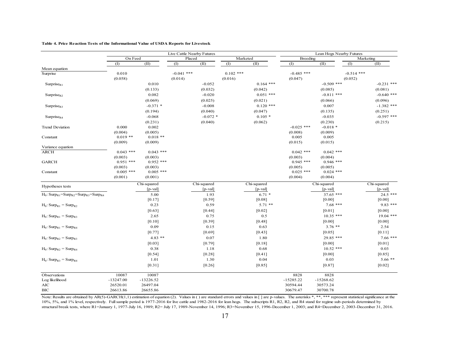|  |  | Table 4. Price Reaction Tests of the Informational Value of USDA Reports for Livestock |  |
|--|--|----------------------------------------------------------------------------------------|--|
|  |  |                                                                                        |  |

|                                                                                        |                        |                        | Live Cattle Nearby Futures |                     |                        | Lean Hogs Nearby Futures |                         |                               |                         |                           |
|----------------------------------------------------------------------------------------|------------------------|------------------------|----------------------------|---------------------|------------------------|--------------------------|-------------------------|-------------------------------|-------------------------|---------------------------|
| On Feed                                                                                |                        | Placed                 |                            | Marketed            |                        | Breeding                 |                         | $\overline{\text{Marketing}}$ |                         |                           |
|                                                                                        | (1)                    | (II)                   | (1)                        | (II)                | (1)                    | (II)                     | $($ I                   | (II)                          | (1)                     | (II)                      |
| Mean equation                                                                          |                        |                        |                            |                     |                        |                          |                         |                               |                         |                           |
| Surprise                                                                               | 0.010<br>(0.058)       |                        | $-0.041$ ***<br>(0.014)    |                     | $0.102$ ***<br>(0.016) |                          | $-0.485$ ***<br>(0.047) |                               | $-0.514$ ***<br>(0.052) |                           |
| Surprise <sub>R1</sub>                                                                 |                        | 0.010                  |                            | $-0.052$            |                        | $0.164$ ***              |                         | $-0.509$ ***                  |                         | $-0.231$ ***              |
|                                                                                        |                        | (0.133)                |                            | (0.032)             |                        | (0.042)                  |                         | (0.085)                       |                         | (0.081)                   |
| Surprise $R_2$                                                                         |                        | 0.082                  |                            | $-0.020$            |                        | $0.051$ ***              |                         | $-0.811$ ***                  |                         | $-0.640$ ***              |
|                                                                                        |                        | (0.069)                |                            | (0.025)             |                        | (0.021)                  |                         | (0.066)                       |                         | (0.096)                   |
| Surprise <sub>R3</sub>                                                                 |                        | $-0.371$ *             |                            | $-0.008$            |                        | $0.120$ ***              |                         | 0.007                         |                         | $-1.382$ ***              |
|                                                                                        |                        | (0.194)                |                            | (0.040)             |                        | (0.047)                  |                         | (0.135)                       |                         | (0.251)                   |
| Surprise <sub>R4</sub>                                                                 |                        | $-0.068$               |                            | $-0.072$ *          |                        | $0.105*$                 |                         | $-0.035$                      |                         | $-0.597$ ***              |
|                                                                                        |                        | (0.231)                |                            | (0.040)             |                        | (0.062)                  |                         | (0.230)                       |                         | (0.215)                   |
| <b>Trend Deviation</b>                                                                 | 0.000                  | 0.002                  |                            |                     |                        |                          | $-0.025$ ***            | $-0.018*$                     |                         |                           |
|                                                                                        | (0.004)                | (0.005)                |                            |                     |                        |                          | (0.008)                 | (0.009)                       |                         |                           |
| Constant                                                                               | $0.019$ **             | $0.018**$              |                            |                     |                        |                          | 0.005                   | 0.005                         |                         |                           |
|                                                                                        | (0.009)                | (0.009)                |                            |                     |                        |                          | (0.015)                 | (0.015)                       |                         |                           |
| Variance equation                                                                      |                        |                        |                            |                     |                        |                          |                         |                               |                         |                           |
| <b>ARCH</b>                                                                            | $0.043$ ***            | $0.043$ ***            |                            |                     |                        |                          | $0.042$ ***             | $0.042$ ***                   |                         |                           |
|                                                                                        | (0.003)<br>$0.951$ *** | (0.003)                |                            |                     |                        |                          | (0.003)                 | (0.004)                       |                         |                           |
| <b>GARCH</b>                                                                           | (0.003)                | $0.952$ ***            |                            |                     |                        |                          | $0.945$ ***             | $0.946$ ***<br>(0.005)        |                         |                           |
| Constant                                                                               | $0.005$ ***            | (0.003)<br>$0.005$ *** |                            |                     |                        |                          | (0.005)<br>$0.025$ ***  | $0.024$ ***                   |                         |                           |
|                                                                                        | (0.001)                | (0.001)                |                            |                     |                        |                          | (0.004)                 | (0.004)                       |                         |                           |
|                                                                                        |                        |                        |                            |                     |                        |                          |                         |                               |                         |                           |
| Hypotheses tests                                                                       |                        | Chi-squared            |                            | Chi-squared         |                        | Chi-squared              |                         | Chi-squared                   |                         | Chi-squared               |
| $H_0$ : Surp <sub>R1</sub> =Surp <sub>R2</sub> =Surp <sub>R3</sub> =Surp <sub>R4</sub> |                        | $[p-value]$<br>5.00    |                            | $[p-value]$<br>1.93 |                        | $[p-value]$<br>$6.71*$   |                         | $[p-value]$<br>$37.65$ ***    |                         | $[p-value]$<br>$24.5$ *** |
|                                                                                        |                        | [0.17]                 |                            | [0.59]              |                        | [0.08]                   |                         | [0.00]                        |                         | $[0.00]$                  |
| $H_0$ : Surp <sub>R1</sub> = Surp <sub>R2</sub>                                        |                        | 0.23                   |                            | 0.59                |                        | $5.71$ **                |                         | $7.68$ ***                    |                         | $9.83***$                 |
|                                                                                        |                        | [0.63]                 |                            | [0.44]              |                        | [0.02]                   |                         | [0.01]                        |                         | [0.00]                    |
| $H_0$ : Surp <sub>R1</sub> = Surp <sub>R3</sub>                                        |                        | 2.65                   |                            | 0.75                |                        | 0.5                      |                         | $10.35$ ***                   |                         | $19.04$ ***               |
|                                                                                        |                        | [0.10]                 |                            | [0.39]              |                        | [0.48]                   |                         | [0.00]                        |                         | $[0.00]$                  |
| $H_0$ : Surp <sub>R1</sub> = Surp <sub>R4</sub>                                        |                        | 0.09                   |                            | 0.15                |                        | 0.63                     |                         | $3.76$ **                     |                         | 2.54                      |
|                                                                                        |                        | [0.77]                 |                            | [0.69]              |                        | [0.43]                   |                         | [0.05]                        |                         | $[0.11]$                  |
| $H_0$ : Surp <sub>R2</sub> = Surp <sub>R3</sub>                                        |                        | $4.83$ **              |                            | 0.07                |                        | 1.80                     |                         | 29.85 ***                     |                         | $7.66$ ***                |
|                                                                                        |                        | [0.03]                 |                            | [0.79]              |                        | [0.18]                   |                         | [0.00]                        |                         | [0.01]                    |
|                                                                                        |                        | 0.38                   |                            | 1.18                |                        | 0.68                     |                         | $10.52$ ***                   |                         | 0.03                      |
| $H_0$ : Surp <sub>R2</sub> = Surp <sub>R4</sub>                                        |                        | [0.54]                 |                            | [0.28]              |                        | $[0.41]$                 |                         | [0.00]                        |                         | [0.85]                    |
|                                                                                        |                        | 1.01                   |                            | 1.30                |                        | 0.04                     |                         | 0.03                          |                         | $5.66**$                  |
| $H_0$ : Surp <sub>R3</sub> = Surp <sub>R4</sub>                                        |                        | [0.31]                 |                            | [0.26]              |                        | [0.85]                   |                         | [0.87]                        |                         | $[0.02]$                  |
| Observations                                                                           | 10087                  | 10087                  |                            |                     |                        |                          | 8828                    | 8828                          |                         |                           |
| Log likelihood                                                                         | $-13247.00$            | $-13226.52$            |                            |                     |                        |                          | $-15285.22$             | $-15268.62$                   |                         |                           |
| AIC                                                                                    | 26520.01               | 26497.04               |                            |                     |                        |                          | 30594.44                | 30573.24                      |                         |                           |
| BІC                                                                                    | 26613.86               | 26655.86               |                            |                     |                        |                          | 30679.47                | 30700.78                      |                         |                           |

Note: Results are obtained by AR(5)-GARCH(1,1) estimation of equation (2). Values in () are standard errors and values in [] are p-values. The asterisks \*, \*\*, \*\*\* represent statistical significance at the 10%, 5%, and 1% level, respectively. Full sample period is 1977-2016 for live cattle and 1982-2016 for lean hogs. The subscripts R1, R2, R2, and R4 stand for regime sub-periods determined by structural break tests, where R1=January 1, 1977-July 16, 1989; R2= July 17, 1989-November 14, 1996; R3=November 15, 1996-December 1, 2003; and R4=December 2, 2003-December 31, 2016.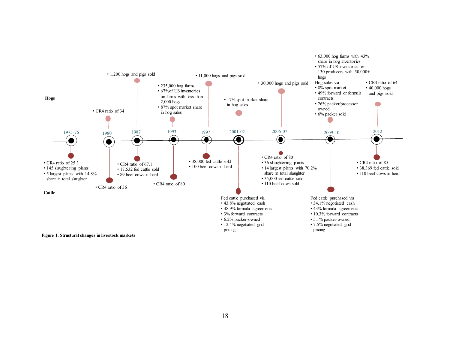

**Figure 1. Structural changes in livestock markets**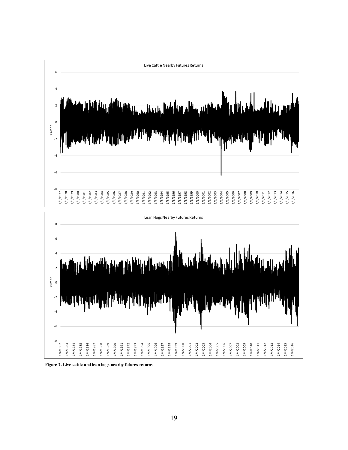



**Figure 2. Live cattle and lean hogs nearby futures returns**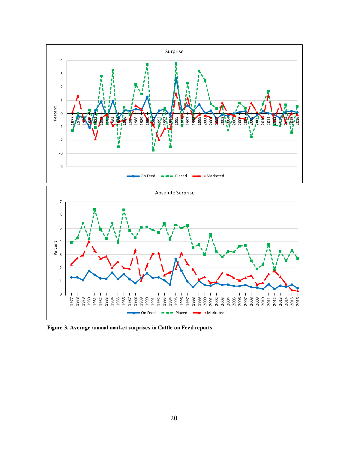

**Figure 3. Average annual market surprises in Cattle on Feed reports**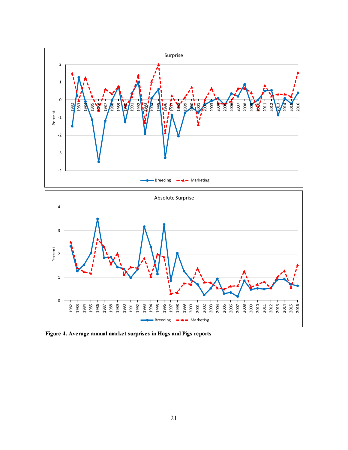

**Figure 4. Average annual market surprises in Hogs and Pigs reports**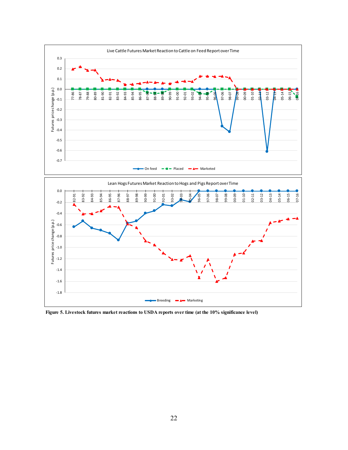

**Figure 5. Livestock futures market reactions to USDA reports over time (at the 10% significance level)**